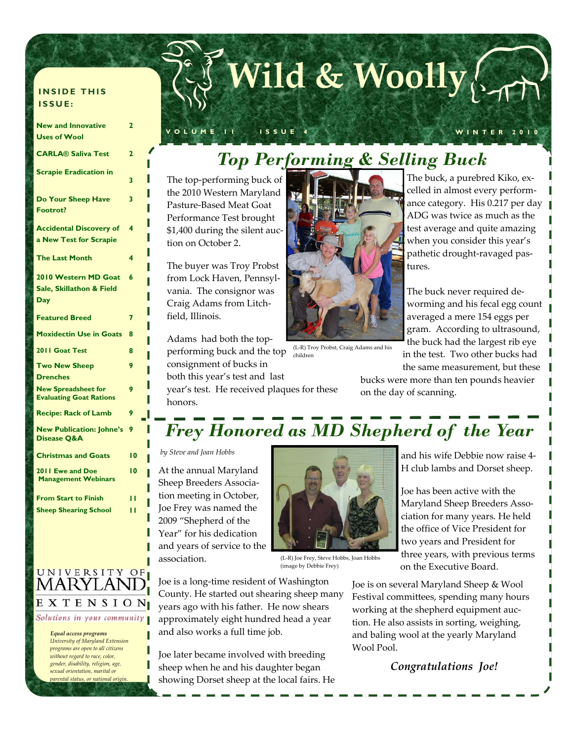# **Wild & Woolly**

#### **VOLUME 11 ISSUE 4 WINTER 2010**

### *Top Performing & Selling Buck*

The top‐performing buck of the 2010 Western Maryland Pasture‐Based Meat Goat Performance Test brought \$1,400 during the silent auction on October 2.

The buyer was Troy Probst from Lock Haven, Pennsyl‐ vania. The consignor was Craig Adams from Litch‐ field, Illinois.

Adams had both the top‐ performing buck and the top consignment of bucks in both this year's test and last

year's test. He received plaques for these honors.

The buck, a purebred Kiko, ex‐ celled in almost every perform‐ ance category. His 0.217 per day ADG was twice as much as the test average and quite amazing when you consider this year's pathetic drought‐ravaged pas‐ tures.

The buck never required de‐ worming and his fecal egg count averaged a mere 154 eggs per gram. According to ultrasound, the buck had the largest rib eye in the test. Two other bucks had the same measurement, but these

bucks were more than ten pounds heavier on the day of scanning.



(L‐R) Troy Probst, Craig Adams and his children

*Frey Honored as MD Shepherd of the Year* 

*by Steve and Joan Hobbs*

At the annual Maryland Sheep Breeders Associa‐ tion meeting in October, Joe Frey was named the 2009 "Shepherd of the Year" for his dedication and years of service to the association.



(L‐R) Joe Frey, Steve Hobbs, Joan Hobbs (image by Debbie Frey)

Joe is a long‐time resident of Washington County. He started out shearing sheep many years ago with his father. He now shears approximately eight hundred head a year and also works a full time job.

Joe later became involved with breeding sheep when he and his daughter began showing Dorset sheep at the local fairs. He

and his wife Debbie now raise 4‐ H club lambs and Dorset sheep.

Joe has been active with the Maryland Sheep Breeders Asso‐ ciation for many years. He held the office of Vice President for two years and President for three years, with previous terms on the Executive Board.

Joe is on several Maryland Sheep & Wool Festival committees, spending many hours working at the shepherd equipment auction. He also assists in sorting, weighing, and baling wool at the yearly Maryland Wool Pool.

### *Congratulations Joe!*

UNIVERSITY OF **MARYLAND** EXTENSION

Solutions in your community

**INSIDE THIS** 

**New and Innovative Uses of Wool** 

**Scrapie Eradication in** 

**Do Your Sheep Have** 

**Accidental Discovery of a New Test for Scrapie** 

**2010 Western MD Goat 6 Sale, Skillathon & Field** 

**Featured Breed 7 Moxidectin Use in Goats 8 2011 Goat Test** 8

**The Last Month** 

**Two New Sheep Drenches** 

**New Spreadsheet for Evaluating Goat Rations** 

**Recipe: Rack of Lamb New Publication: Johne's** 

**Christmas and Goats 10** 

**From Start to Finish 11 Sheep Shearing School** 11

**Disease Q&A** 

**2011 Ewe and Doe Management Webinars** 

**Footrot?** 

**Day** 

**CARLA® Saliva Test 2** 

**2** 

**3** 

**3** 

**4** 

**9** 

**9** 

**9** 

**10** 

**ISSUE:** 

 *Equal access programs University of Maryland Extension programs are open to all citizens without regard to race, color, gender, disability, religion, age, sexual orientation, marital or parental status, or national origin.*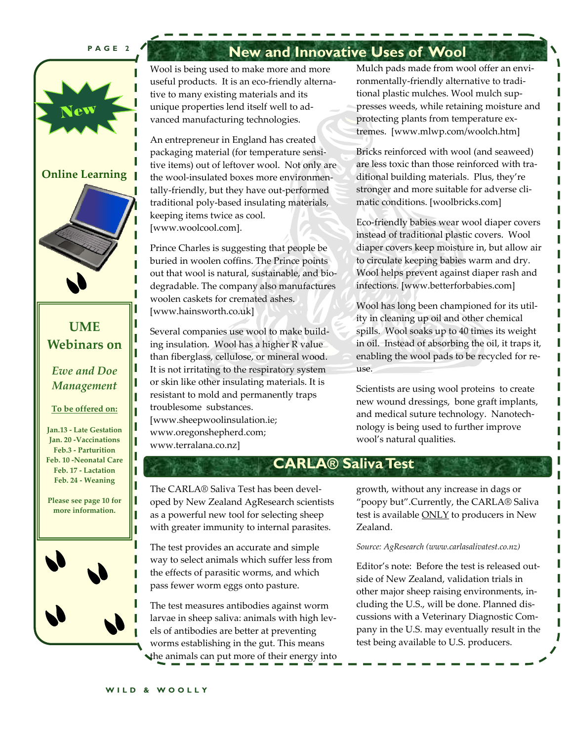#### **PAGE 2**



#### **Online Learning**



### **UME Webinars on**

*Ewe and Doe Management* 

#### **To be offered on:**

**Jan.13 ‐ Late Gestation Jan. 20 ‐Vaccinations Feb.3 ‐ Parturition Feb. 10 ‐Neonatal Care Feb. 17 ‐ Lactation Feb. 24 ‐ Weaning**

Г П П

П

**Please see page 10 for more information.** 



### **New and Innovative Uses of Wool**

Wool is being used to make more and more useful products. It is an eco-friendly alternative to many existing materials and its unique properties lend itself well to ad‐ vanced manufacturing technologies.

An entrepreneur in England has created packaging material (for temperature sensi‐ tive items) out of leftover wool. Not only are the wool‐insulated boxes more environmen‐ tally‐friendly, but they have out‐performed traditional poly‐based insulating materials, keeping items twice as cool. [www.woolcool.com].

Prince Charles is suggesting that people be buried in woolen coffins. The Prince points out that wool is natural, sustainable, and bio‐ degradable. The company also manufactures woolen caskets for cremated ashes. [www.hainsworth.co.uk]

Several companies use wool to make build‐ ing insulation. Wool has a higher R value than fiberglass, cellulose, or mineral wood. It is not irritating to the respiratory system or skin like other insulating materials. It is resistant to mold and permanently traps troublesome substances. [www.sheepwoolinsulation.ie; www.oregonshepherd.com; www.terralana.co.nz]

Mulch pads made from wool offer an environmentally‐friendly alternative to tradi‐ tional plastic mulches. Wool mulch sup‐ presses weeds, while retaining moisture and protecting plants from temperature ex‐ tremes. [www.mlwp.com/woolch.htm]

Bricks reinforced with wool (and seaweed) are less toxic than those reinforced with traditional building materials. Plus, they're stronger and more suitable for adverse cli‐ matic conditions. [woolbricks.com]

Eco‐friendly babies wear wool diaper covers instead of traditional plastic covers. Wool diaper covers keep moisture in, but allow air to circulate keeping babies warm and dry. Wool helps prevent against diaper rash and infections. [www.betterforbabies.com]

Wool has long been championed for its utility in cleaning up oil and other chemical spills. Wool soaks up to 40 times its weight in oil. Instead of absorbing the oil, it traps it, enabling the wool pads to be recycled for re‐ use.

Scientists are using wool proteins to create new wound dressings, bone graft implants, and medical suture technology. Nanotech‐ nology is being used to further improve wool's natural qualities.

### **CARLA® Saliva Test**

The CARLA® Saliva Test has been devel‐ oped by New Zealand AgResearch scientists as a powerful new tool for selecting sheep with greater immunity to internal parasites.

The test provides an accurate and simple way to select animals which suffer less from the effects of parasitic worms, and which pass fewer worm eggs onto pasture.

The test measures antibodies against worm larvae in sheep saliva: animals with high levels of antibodies are better at preventing worms establishing in the gut. This means the animals can put more of their energy into growth, without any increase in dags or "poopy but".Currently, the CARLA® Saliva test is available **ONLY** to producers in New Zealand.

#### *Source: AgResearch (www.carlasalivatest.co.nz)*

Editor's note: Before the test is released out‐ side of New Zealand, validation trials in other major sheep raising environments, in‐ cluding the U.S., will be done. Planned dis‐ cussions with a Veterinary Diagnostic Com‐ pany in the U.S. may eventually result in the test being available to U.S. producers.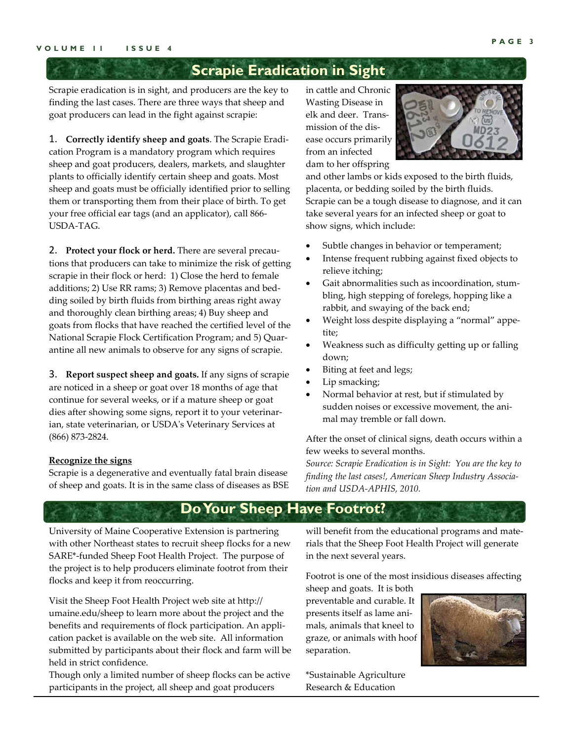### **Scrapie Eradication in Sight**

Scrapie eradication is in sight, and producers are the key to finding the last cases. There are three ways that sheep and goat producers can lead in the fight against scrapie:

1. **Correctly identify sheep and goats**. The Scrapie Eradi‐ cation Program is a mandatory program which requires sheep and goat producers, dealers, markets, and slaughter plants to officially identify certain sheep and goats. Most sheep and goats must be officially identified prior to selling them or transporting them from their place of birth. To get your free official ear tags (and an applicator), call 866‐ USDA‐TAG.

2. **Protect your flock or herd.** There are several precau‐ tions that producers can take to minimize the risk of getting scrapie in their flock or herd: 1) Close the herd to female additions; 2) Use RR rams; 3) Remove placentas and bed‐ ding soiled by birth fluids from birthing areas right away and thoroughly clean birthing areas; 4) Buy sheep and goats from flocks that have reached the certified level of the National Scrapie Flock Certification Program; and 5) Quar‐ antine all new animals to observe for any signs of scrapie.

3. **Report suspect sheep and goats.** If any signs of scrapie are noticed in a sheep or goat over 18 months of age that continue for several weeks, or if a mature sheep or goat dies after showing some signs, report it to your veterinar‐ ian, state veterinarian, or USDAʹs Veterinary Services at (866) 873‐2824.

#### **Recognize the signs**

Scrapie is a degenerative and eventually fatal brain disease of sheep and goats. It is in the same class of diseases as BSE in cattle and Chronic Wasting Disease in elk and deer. Trans‐ mission of the dis‐ ease occurs primarily from an infected dam to her offspring



and other lambs or kids exposed to the birth fluids, placenta, or bedding soiled by the birth fluids. Scrapie can be a tough disease to diagnose, and it can take several years for an infected sheep or goat to show signs, which include:

- Subtle changes in behavior or temperament;
- Intense frequent rubbing against fixed objects to relieve itching;
- Gait abnormalities such as incoordination, stum‐ bling, high stepping of forelegs, hopping like a rabbit, and swaying of the back end;
- Weight loss despite displaying a "normal" appe‐ tite;
- Weakness such as difficulty getting up or falling down;
- Biting at feet and legs;
- Lip smacking;
- Normal behavior at rest, but if stimulated by sudden noises or excessive movement, the ani‐ mal may tremble or fall down.

After the onset of clinical signs, death occurs within a few weeks to several months.

*Source: Scrapie Eradication is in Sight: You are the key to finding the last cases!, American Sheep Industry Associa‐ tion and USDA‐APHIS, 2010.*

### **Do Your Sheep Have Footrot?**

University of Maine Cooperative Extension is partnering with other Northeast states to recruit sheep flocks for a new SARE\*‐funded Sheep Foot Health Project. The purpose of the project is to help producers eliminate footrot from their flocks and keep it from reoccurring.

Visit the Sheep Foot Health Project web site at http:// umaine.edu/sheep to learn more about the project and the benefits and requirements of flock participation. An appli‐ cation packet is available on the web site. All information submitted by participants about their flock and farm will be held in strict confidence.

Though only a limited number of sheep flocks can be active participants in the project, all sheep and goat producers

will benefit from the educational programs and materials that the Sheep Foot Health Project will generate in the next several years.

Footrot is one of the most insidious diseases affecting

sheep and goats. It is both preventable and curable. It presents itself as lame ani‐ mals, animals that kneel to graze, or animals with hoof separation.

\*Sustainable Agriculture Research & Education

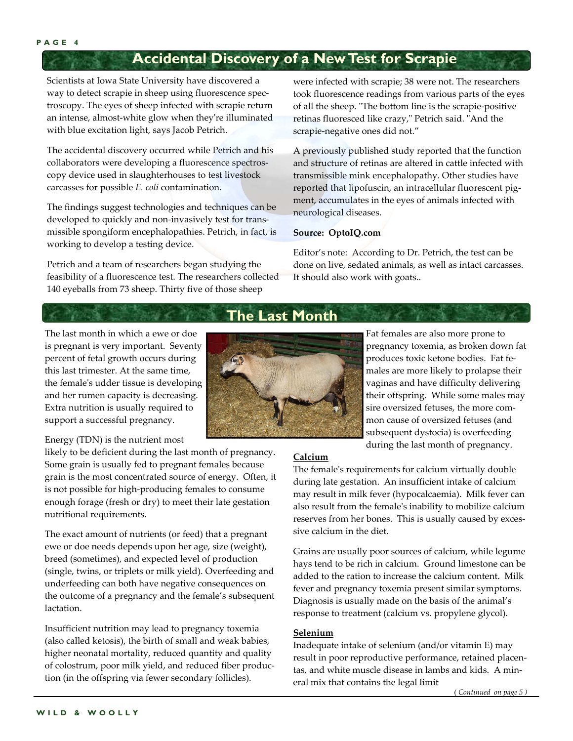### **Accidental Discovery of a New Test for Scrapie**

Scientists at Iowa State University have discovered a way to detect scrapie in sheep using fluorescence spec‐ troscopy. The eyes of sheep infected with scrapie return an intense, almost‐white glow when theyʹre illuminated with blue excitation light, says Jacob Petrich.

The accidental discovery occurred while Petrich and his collaborators were developing a fluorescence spectros‐ copy device used in slaughterhouses to test livestock carcasses for possible *E. coli* contamination.

The findings suggest technologies and techniques can be developed to quickly and non-invasively test for transmissible spongiform encephalopathies. Petrich, in fact, is working to develop a testing device.

Petrich and a team of researchers began studying the feasibility of a fluorescence test. The researchers collected 140 eyeballs from 73 sheep. Thirty five of those sheep

were infected with scrapie; 38 were not. The researchers took fluorescence readings from various parts of the eyes of all the sheep. "The bottom line is the scrapie-positive retinas fluoresced like crazy," Petrich said. "And the scrapie‐negative ones did not."

A previously published study reported that the function and structure of retinas are altered in cattle infected with transmissible mink encephalopathy. Other studies have reported that lipofuscin, an intracellular fluorescent pig‐ ment, accumulates in the eyes of animals infected with neurological diseases.

#### **Source: OptoIQ.com**

Editor's note: According to Dr. Petrich, the test can be done on live, sedated animals, as well as intact carcasses. It should also work with goats..

### **The Last Month**

The last month in which a ewe or doe is pregnant is very important. Seventy percent of fetal growth occurs during this last trimester. At the same time, the femaleʹs udder tissue is developing and her rumen capacity is decreasing. Extra nutrition is usually required to support a successful pregnancy.

Energy (TDN) is the nutrient most

likely to be deficient during the last month of pregnancy. Some grain is usually fed to pregnant females because grain is the most concentrated source of energy. Often, it is not possible for high‐producing females to consume enough forage (fresh or dry) to meet their late gestation nutritional requirements.

The exact amount of nutrients (or feed) that a pregnant ewe or doe needs depends upon her age, size (weight), breed (sometimes), and expected level of production (single, twins, or triplets or milk yield). Overfeeding and underfeeding can both have negative consequences on the outcome of a pregnancy and the female's subsequent lactation.

Insufficient nutrition may lead to pregnancy toxemia (also called ketosis), the birth of small and weak babies, higher neonatal mortality, reduced quantity and quality of colostrum, poor milk yield, and reduced fiber produc‐ tion (in the offspring via fewer secondary follicles).



Fat females are also more prone to pregnancy toxemia, as broken down fat produces toxic ketone bodies. Fat fe‐ males are more likely to prolapse their vaginas and have difficulty delivering their offspring. While some males may sire oversized fetuses, the more com‐ mon cause of oversized fetuses (and subsequent dystocia) is overfeeding during the last month of pregnancy.

#### **Calcium**

The femaleʹs requirements for calcium virtually double during late gestation. An insufficient intake of calcium may result in milk fever (hypocalcaemia). Milk fever can also result from the femaleʹs inability to mobilize calcium reserves from her bones. This is usually caused by excessive calcium in the diet.

Grains are usually poor sources of calcium, while legume hays tend to be rich in calcium. Ground limestone can be added to the ration to increase the calcium content. Milk fever and pregnancy toxemia present similar symptoms. Diagnosis is usually made on the basis of the animal's response to treatment (calcium vs. propylene glycol).

#### **Selenium**

Inadequate intake of selenium (and/or vitamin E) may result in poor reproductive performance, retained placen‐ tas, and white muscle disease in lambs and kids. A min‐ eral mix that contains the legal limit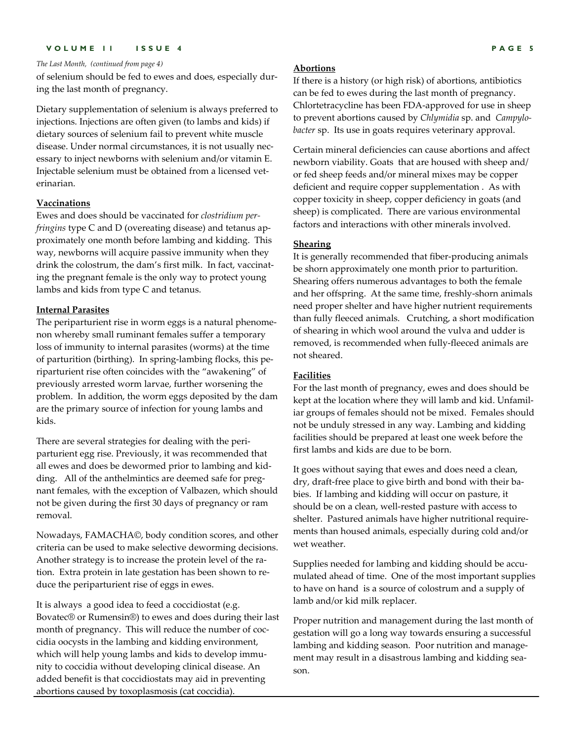#### **VOLUME 11 ISSUE 4 PAGE 5**

#### *The Last Month, (continued from page 4)*

of selenium should be fed to ewes and does, especially dur‐ ing the last month of pregnancy.

Dietary supplementation of selenium is always preferred to injections. Injections are often given (to lambs and kids) if dietary sources of selenium fail to prevent white muscle disease. Under normal circumstances, it is not usually nec‐ essary to inject newborns with selenium and/or vitamin E. Injectable selenium must be obtained from a licensed vet‐ erinarian.

#### **Vaccinations**

Ewes and does should be vaccinated for *clostridium per‐ fringins* type C and D (overeating disease) and tetanus ap‐ proximately one month before lambing and kidding. This way, newborns will acquire passive immunity when they drink the colostrum, the dam's first milk. In fact, vaccinating the pregnant female is the only way to protect young lambs and kids from type C and tetanus.

#### **Internal Parasites**

The periparturient rise in worm eggs is a natural phenome‐ non whereby small ruminant females suffer a temporary loss of immunity to internal parasites (worms) at the time of parturition (birthing). In spring‐lambing flocks, this pe‐ riparturient rise often coincides with the "awakening" of previously arrested worm larvae, further worsening the problem. In addition, the worm eggs deposited by the dam are the primary source of infection for young lambs and kids.

There are several strategies for dealing with the peri‐ parturient egg rise. Previously, it was recommended that all ewes and does be dewormed prior to lambing and kid‐ ding. All of the anthelmintics are deemed safe for pregnant females, with the exception of Valbazen, which should not be given during the first 30 days of pregnancy or ram removal.

Nowadays, FAMACHA©, body condition scores, and other criteria can be used to make selective deworming decisions. Another strategy is to increase the protein level of the ra‐ tion. Extra protein in late gestation has been shown to re‐ duce the periparturient rise of eggs in ewes.

It is always a good idea to feed a coccidiostat (e.g. Bovatec® or Rumensin®) to ewes and does during their last month of pregnancy. This will reduce the number of coccidia oocysts in the lambing and kidding environment, which will help young lambs and kids to develop immunity to coccidia without developing clinical disease. An added benefit is that coccidiostats may aid in preventing abortions caused by toxoplasmosis (cat coccidia).

#### **Abortions**

If there is a history (or high risk) of abortions, antibiotics can be fed to ewes during the last month of pregnancy. Chlortetracycline has been FDA‐approved for use in sheep to prevent abortions caused by *Chlymidia* sp. and *Campylo‐ bacter* sp. Its use in goats requires veterinary approval.

Certain mineral deficiencies can cause abortions and affect newborn viability. Goats that are housed with sheep and/ or fed sheep feeds and/or mineral mixes may be copper deficient and require copper supplementation . As with copper toxicity in sheep, copper deficiency in goats (and sheep) is complicated. There are various environmental factors and interactions with other minerals involved.

#### **Shearing**

It is generally recommended that fiber-producing animals be shorn approximately one month prior to parturition. Shearing offers numerous advantages to both the female and her offspring. At the same time, freshly‐shorn animals need proper shelter and have higher nutrient requirements than fully fleeced animals. Crutching, a short modification of shearing in which wool around the vulva and udder is removed, is recommended when fully‐fleeced animals are not sheared.

#### **Facilities**

For the last month of pregnancy, ewes and does should be kept at the location where they will lamb and kid. Unfamil‐ iar groups of females should not be mixed. Females should not be unduly stressed in any way. Lambing and kidding facilities should be prepared at least one week before the first lambs and kids are due to be born.

It goes without saying that ewes and does need a clean, dry, draft-free place to give birth and bond with their babies. If lambing and kidding will occur on pasture, it should be on a clean, well-rested pasture with access to shelter. Pastured animals have higher nutritional requirements than housed animals, especially during cold and/or wet weather.

Supplies needed for lambing and kidding should be accumulated ahead of time. One of the most important supplies to have on hand is a source of colostrum and a supply of lamb and/or kid milk replacer.

Proper nutrition and management during the last month of gestation will go a long way towards ensuring a successful lambing and kidding season. Poor nutrition and manage‐ ment may result in a disastrous lambing and kidding season.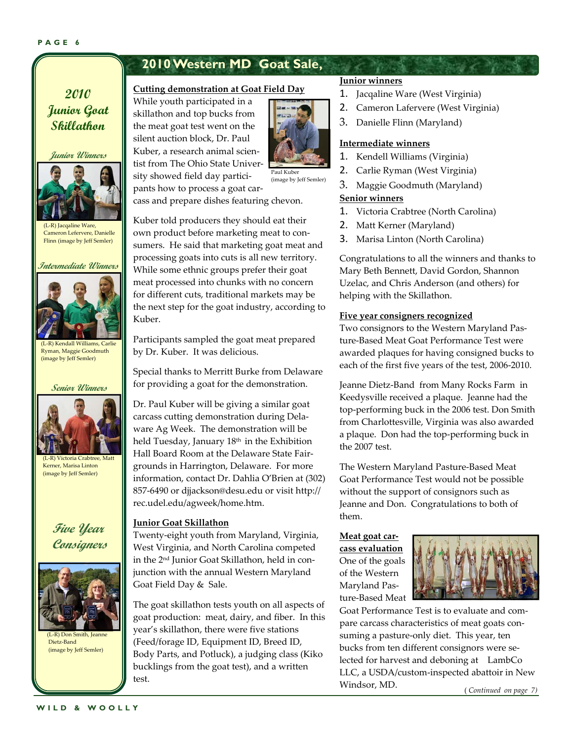#### **PAGE 6**

### **2010 Western MD Goat Sale,**

### **2010 Junior Goat Skillathon**

**Junior Winners** 



(L-R) Jacqaline Ware, Cameron Lefervere, Danielle Flinn (image by Jeff Semler)

#### **Intermediate Winners**



Ryman, Maggie Goodmuth (image by Jeff Semler)

#### **Senior Winners**



(L‐R) Victoria Crabtree, Matt Kerner, Marisa Linton (image by Jeff Semler)

### **Five Year Consigners**



Dietz‐Band (image by Jeff Semler)

#### **WILD & WOOLLY**

#### **Cutting demonstration at Goat Field Day**

While youth participated in a skillathon and top bucks from the meat goat test went on the silent auction block, Dr. Paul Kuber, a research animal scien‐ tist from The Ohio State Univer‐ sity showed field day partici‐ pants how to process a goat car‐



Paul Kuber (image by Jeff Semler)

cass and prepare dishes featuring chevon.

Kuber told producers they should eat their own product before marketing meat to con‐ sumers. He said that marketing goat meat and processing goats into cuts is all new territory. While some ethnic groups prefer their goat meat processed into chunks with no concern for different cuts, traditional markets may be the next step for the goat industry, according to Kuber.

Participants sampled the goat meat prepared by Dr. Kuber. It was delicious.

Special thanks to Merritt Burke from Delaware for providing a goat for the demonstration.

Dr. Paul Kuber will be giving a similar goat carcass cutting demonstration during Dela‐ ware Ag Week. The demonstration will be held Tuesday, January 18<sup>th</sup> in the Exhibition Hall Board Room at the Delaware State Fair‐ grounds in Harrington, Delaware. For more information, contact Dr. Dahlia O'Brien at (302) 857‐6490 or djjackson@desu.edu or visit http:// rec.udel.edu/agweek/home.htm.

#### **Junior Goat Skillathon**

Twenty‐eight youth from Maryland, Virginia, West Virginia, and North Carolina competed in the 2nd Junior Goat Skillathon, held in con‐ junction with the annual Western Maryland Goat Field Day & Sale.

The goat skillathon tests youth on all aspects of goat production: meat, dairy, and fiber. In this year's skillathon, there were five stations (Feed/forage ID, Equipment ID, Breed ID, Body Parts, and Potluck), a judging class (Kiko bucklings from the goat test), and a written test.

#### **Junior winners**

- 1. Jacqaline Ware (West Virginia)
- 2. Cameron Lafervere (West Virginia)
- 3. Danielle Flinn (Maryland)

#### **Intermediate winners**

- 1. Kendell Williams (Virginia)
- 2. Carlie Ryman (West Virginia)
- 3. Maggie Goodmuth (Maryland)

#### **Senior winners**

- 1. Victoria Crabtree (North Carolina)
- 2. Matt Kerner (Maryland)
- 3. Marisa Linton (North Carolina)

Congratulations to all the winners and thanks to Mary Beth Bennett, David Gordon, Shannon Uzelac, and Chris Anderson (and others) for helping with the Skillathon.

#### **Five year consigners recognized**

Two consignors to the Western Maryland Pas‐ ture‐Based Meat Goat Performance Test were awarded plaques for having consigned bucks to each of the first five years of the test, 2006‐2010.

Jeanne Dietz‐Band from Many Rocks Farm in Keedysville received a plaque. Jeanne had the top‐performing buck in the 2006 test. Don Smith from Charlottesville, Virginia was also awarded a plaque. Don had the top‐performing buck in the 2007 test.

The Western Maryland Pasture‐Based Meat Goat Performance Test would not be possible without the support of consignors such as Jeanne and Don. Congratulations to both of them.

#### **Meat goat car‐ cass evaluation**

One of the goals of the Western Maryland Pas‐ ture‐Based Meat



Goat Performance Test is to evaluate and com‐ pare carcass characteristics of meat goats consuming a pasture‐only diet. This year, ten bucks from ten different consignors were se‐ lected for harvest and deboning at LambCo LLC, a USDA/custom‐inspected abattoir in New Windsor, MD.

( *Continued on page 7)*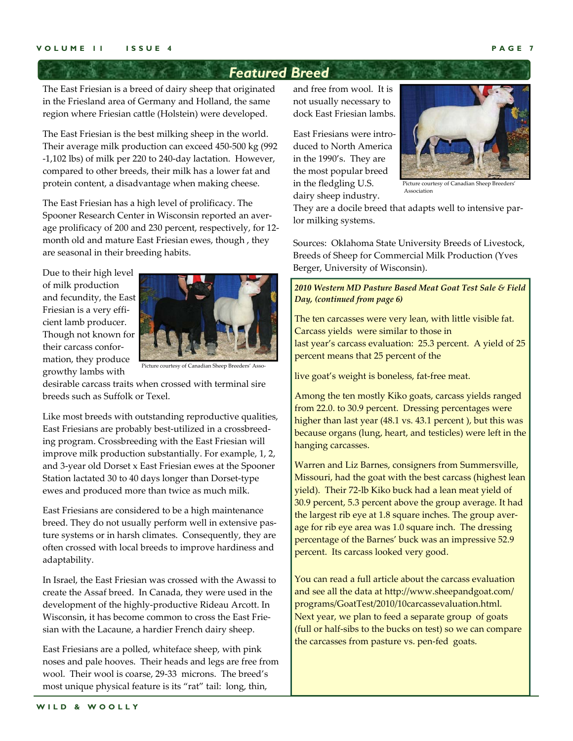### *Featured Breed*

The East Friesian is a breed of dairy sheep that originated in the Friesland area of Germany and Holland, the same region where Friesian cattle (Holstein) were developed.

The East Friesian is the best milking sheep in the world. Their average milk production can exceed 450‐500 kg (992 ‐1,102 lbs) of milk per 220 to 240‐day lactation. However, compared to other breeds, their milk has a lower fat and protein content, a disadvantage when making cheese.

The East Friesian has a high level of prolificacy. The Spooner Research Center in Wisconsin reported an aver‐ age prolificacy of 200 and 230 percent, respectively, for 12‐ month old and mature East Friesian ewes, though , they are seasonal in their breeding habits.

Due to their high level of milk production and fecundity, the East Friesian is a very effi‐ cient lamb producer. Though not known for their carcass confor‐ mation, they produce growthy lambs with



Picture courtesy of Canadian Sheep Breeders' Asso

desirable carcass traits when crossed with terminal sire breeds such as Suffolk or Texel.

Like most breeds with outstanding reproductive qualities, East Friesians are probably best‐utilized in a crossbreed‐ ing program. Crossbreeding with the East Friesian will improve milk production substantially. For example, 1, 2, and 3‐year old Dorset x East Friesian ewes at the Spooner Station lactated 30 to 40 days longer than Dorset‐type ewes and produced more than twice as much milk.

East Friesians are considered to be a high maintenance breed. They do not usually perform well in extensive pas‐ ture systems or in harsh climates. Consequently, they are often crossed with local breeds to improve hardiness and adaptability.

In Israel, the East Friesian was crossed with the Awassi to create the Assaf breed. In Canada, they were used in the development of the highly‐productive Rideau Arcott. In Wisconsin, it has become common to cross the East Frie‐ sian with the Lacaune, a hardier French dairy sheep.

East Friesians are a polled, whiteface sheep, with pink noses and pale hooves. Their heads and legs are free from wool. Their wool is coarse, 29‐33 microns. The breed's most unique physical feature is its "rat" tail: long, thin,

and free from wool. It is not usually necessary to dock East Friesian lambs.

East Friesians were intro‐ duced to North America in the 1990's. They are the most popular breed in the fledgling U.S. dairy sheep industry.



Picture courtesy of Canadian Sheep Breeders' Association

They are a docile breed that adapts well to intensive par‐ lor milking systems.

Sources: Oklahoma State University Breeds of Livestock, Breeds of Sheep for Commercial Milk Production (Yves Berger, University of Wisconsin).

*2010 Western MD Pasture Based Meat Goat Test Sale & Field Day, (continued from page 6)*

The ten carcasses were very lean, with little visible fat. Carcass yields were similar to those in last year's carcass evaluation: 25.3 percent. A yield of 25 percent means that 25 percent of the

live goat's weight is boneless, fat‐free meat.

Among the ten mostly Kiko goats, carcass yields ranged from 22.0. to 30.9 percent. Dressing percentages were higher than last year (48.1 vs. 43.1 percent ), but this was because organs (lung, heart, and testicles) were left in the hanging carcasses.

Warren and Liz Barnes, consigners from Summersville, Missouri, had the goat with the best carcass (highest lean yield). Their 72‐lb Kiko buck had a lean meat yield of 30.9 percent, 5.3 percent above the group average. It had the largest rib eye at 1.8 square inches. The group average for rib eye area was 1.0 square inch. The dressing percentage of the Barnes' buck was an impressive 52.9 percent. Its carcass looked very good.

You can read a full article about the carcass evaluation and see all the data at http://www.sheepandgoat.com/ programs/GoatTest/2010/10carcassevaluation.html. Next year, we plan to feed a separate group of goats (full or half‐sibs to the bucks on test) so we can compare the carcasses from pasture vs. pen‐fed goats.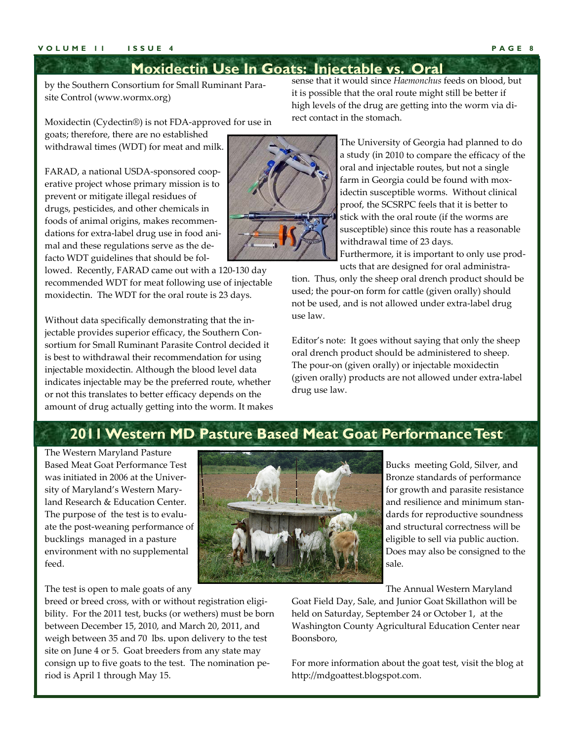### **Moxidectin Use In Goats: Injectable vs. Oral**

by the Southern Consortium for Small Ruminant Para‐ site Control (www.wormx.org)

Moxidectin (Cydectin®) is not FDA‐approved for use in goats; therefore, there are no established

withdrawal times (WDT) for meat and milk.

FARAD, a national USDA‐sponsored coop‐ erative project whose primary mission is to prevent or mitigate illegal residues of drugs, pesticides, and other chemicals in foods of animal origins, makes recommen‐ dations for extra‐label drug use in food ani‐ mal and these regulations serve as the de‐ facto WDT guidelines that should be fol‐

lowed. Recently, FARAD came out with a 120‐130 day recommended WDT for meat following use of injectable moxidectin. The WDT for the oral route is 23 days.

Without data specifically demonstrating that the in‐ jectable provides superior efficacy, the Southern Consortium for Small Ruminant Parasite Control decided it is best to withdrawal their recommendation for using injectable moxidectin. Although the blood level data indicates injectable may be the preferred route, whether or not this translates to better efficacy depends on the amount of drug actually getting into the worm. It makes

sense that it would since *Haemonchus* feeds on blood, but it is possible that the oral route might still be better if high levels of the drug are getting into the worm via di‐ rect contact in the stomach.

> The University of Georgia had planned to do a study (in 2010 to compare the efficacy of the oral and injectable routes, but not a single farm in Georgia could be found with mox‐ idectin susceptible worms. Without clinical proof, the SCSRPC feels that it is better to stick with the oral route (if the worms are susceptible) since this route has a reasonable withdrawal time of 23 days.

> Furthermore, it is important to only use prod‐ ucts that are designed for oral administra‐

tion. Thus, only the sheep oral drench product should be used; the pour-on form for cattle (given orally) should not be used, and is not allowed under extra‐label drug use law.

Editor's note: It goes without saying that only the sheep oral drench product should be administered to sheep. The pour-on (given orally) or injectable moxidectin (given orally) products are not allowed under extra‐label drug use law.

### **2011 Western MD Pasture Based Meat Goat Performance Test**

The Western Maryland Pasture Based Meat Goat Performance Test was initiated in 2006 at the Univer‐ sity of Maryland's Western Mary‐ land Research & Education Center. The purpose of the test is to evaluate the post‐weaning performance of bucklings managed in a pasture environment with no supplemental feed.

The test is open to male goats of any

breed or breed cross, with or without registration eligibility. For the 2011 test, bucks (or wethers) must be born between December 15, 2010, and March 20, 2011, and weigh between 35 and 70 lbs. upon delivery to the test site on June 4 or 5. Goat breeders from any state may consign up to five goats to the test. The nomination pe‐ riod is April 1 through May 15.

Bucks meeting Gold, Silver, and Bronze standards of performance for growth and parasite resistance and resilience and minimum stan‐ dards for reproductive soundness and structural correctness will be eligible to sell via public auction. Does may also be consigned to the sale.

The Annual Western Maryland

Goat Field Day, Sale, and Junior Goat Skillathon will be held on Saturday, September 24 or October 1, at the Washington County Agricultural Education Center near Boonsboro,

For more information about the goat test, visit the blog at http://mdgoattest.blogspot.com.

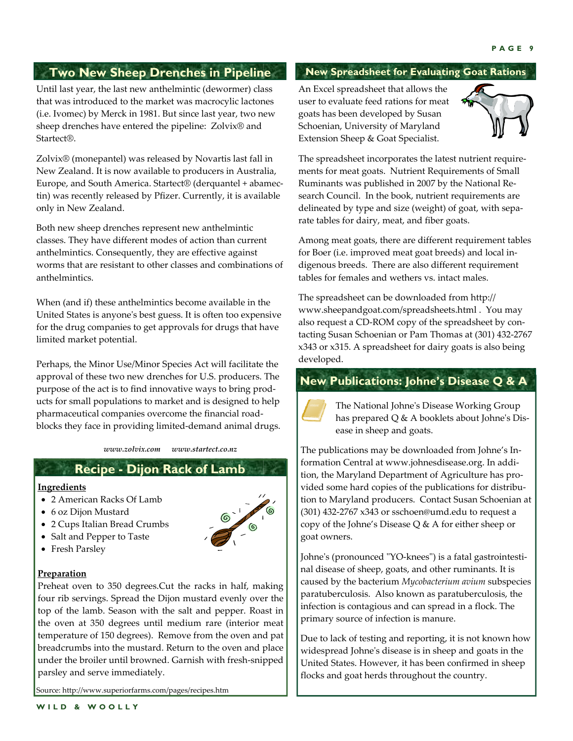### **Two New Sheep Drenches in Pipeline**

Until last year, the last new anthelmintic (dewormer) class that was introduced to the market was macrocylic lactones (i.e. Ivomec) by Merck in 1981. But since last year, two new sheep drenches have entered the pipeline: Zolvix® and Startect®.

Zolvix® (monepantel) was released by Novartis last fall in New Zealand. It is now available to producers in Australia, Europe, and South America. Startect® (derquantel + abamec‐ tin) was recently released by Pfizer. Currently, it is available only in New Zealand.

Both new sheep drenches represent new anthelmintic classes. They have different modes of action than current anthelmintics. Consequently, they are effective against worms that are resistant to other classes and combinations of anthelmintics.

When (and if) these anthelmintics become available in the United States is anyoneʹs best guess. It is often too expensive for the drug companies to get approvals for drugs that have limited market potential.

Perhaps, the Minor Use/Minor Species Act will facilitate the approval of these two new drenches for U.S. producers. The purpose of the act is to find innovative ways to bring prod‐ ucts for small populations to market and is designed to help pharmaceutical companies overcome the financial road‐ blocks they face in providing limited‐demand animal drugs.

*www.zolvix.com www.startect.co.nz*

### **Recipe - Dijon Rack of Lamb**

#### **Ingredients**

- 2 American Racks Of Lamb
- 6 oz Dijon Mustard
- 2 Cups Italian Bread Crumbs
- Salt and Pepper to Taste
- Fresh Parsley



#### **Preparation**

Preheat oven to 350 degrees.Cut the racks in half, making four rib servings. Spread the Dijon mustard evenly over the top of the lamb. Season with the salt and pepper. Roast in the oven at 350 degrees until medium rare (interior meat temperature of 150 degrees). Remove from the oven and pat breadcrumbs into the mustard. Return to the oven and place under the broiler until browned. Garnish with fresh‐snipped parsley and serve immediately.

Source: http://www.superiorfarms.com/pages/recipes.htm

#### **New Spreadsheet for Evaluating Goat Rations**

An Excel spreadsheet that allows the user to evaluate feed rations for meat goats has been developed by Susan Schoenian, University of Maryland Extension Sheep & Goat Specialist.



The spreadsheet incorporates the latest nutrient require‐ ments for meat goats. Nutrient Requirements of Small Ruminants was published in 2007 by the National Re‐ search Council. In the book, nutrient requirements are delineated by type and size (weight) of goat, with sepa‐ rate tables for dairy, meat, and fiber goats.

Among meat goats, there are different requirement tables for Boer (i.e. improved meat goat breeds) and local in‐ digenous breeds. There are also different requirement tables for females and wethers vs. intact males.

The spreadsheet can be downloaded from http:// www.sheepandgoat.com/spreadsheets.html . You may also request a CD‐ROM copy of the spreadsheet by con‐ tacting Susan Schoenian or Pam Thomas at (301) 432‐2767 x343 or x315. A spreadsheet for dairy goats is also being developed.

### **New Publications: Johne's Disease Q & A**



The National Johneʹs Disease Working Group has prepared Q & A booklets about Johne's Disease in sheep and goats.

The publications may be downloaded from Johne's In‐ formation Central at www.johnesdisease.org. In addi‐ tion, the Maryland Department of Agriculture has pro‐ vided some hard copies of the publications for distribu‐ tion to Maryland producers. Contact Susan Schoenian at (301) 432‐2767 x343 or sschoen@umd.edu to request a copy of the Johne's Disease Q & A for either sheep or goat owners.

Johne's (pronounced "YO-knees") is a fatal gastrointestinal disease of sheep, goats, and other ruminants. It is caused by the bacterium *Mycobacterium avium* subspecies paratuberculosis. Also known as paratuberculosis, the infection is contagious and can spread in a flock. The primary source of infection is manure.

Due to lack of testing and reporting, it is not known how widespread Johneʹs disease is in sheep and goats in the United States. However, it has been confirmed in sheep flocks and goat herds throughout the country.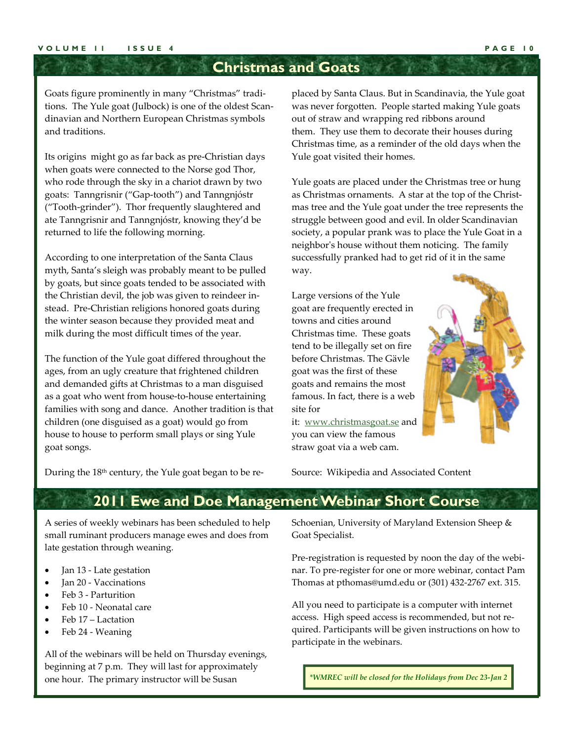### **Christmas and Goats**

Goats figure prominently in many "Christmas" tradi‐ tions. The Yule goat (Julbock) is one of the oldest Scan‐ dinavian and Northern European Christmas symbols and traditions.

Its origins might go as far back as pre‐Christian days when goats were connected to the Norse god Thor, who rode through the sky in a chariot drawn by two goats: Tanngrisnir ("Gap‐tooth") and Tanngnjóstr ("Tooth‐grinder"). Thor frequently slaughtered and ate Tanngrisnir and Tanngnjóstr, knowing they'd be returned to life the following morning.

According to one interpretation of the Santa Claus myth, Santa's sleigh was probably meant to be pulled by goats, but since goats tended to be associated with the Christian devil, the job was given to reindeer in‐ stead. Pre‐Christian religions honored goats during the winter season because they provided meat and milk during the most difficult times of the year.

The function of the Yule goat differed throughout the ages, from an ugly creature that frightened children and demanded gifts at Christmas to a man disguised as a goat who went from house‐to‐house entertaining families with song and dance. Another tradition is that children (one disguised as a goat) would go from house to house to perform small plays or sing Yule goat songs.

placed by Santa Claus. But in Scandinavia, the Yule goat was never forgotten. People started making Yule goats out of straw and wrapping red ribbons around them. They use them to decorate their houses during Christmas time, as a reminder of the old days when the Yule goat visited their homes.

Yule goats are placed under the Christmas tree or hung as Christmas ornaments. A star at the top of the Christmas tree and the Yule goat under the tree represents the struggle between good and evil. In older Scandinavian society, a popular prank was to place the Yule Goat in a neighborʹs house without them noticing. The family successfully pranked had to get rid of it in the same way.

Large versions of the Yule goat are frequently erected in towns and cities around Christmas time. These goats tend to be illegally set on fire before Christmas. The Gävle goat was the first of these goats and remains the most famous. In fact, there is a web site for

it: www.christmasgoat.se and you can view the famous straw goat via a web cam.



During the 18<sup>th</sup> century, the Yule goat began to be re-

Source: Wikipedia and Associated Content

### **2011 Ewe and Doe Management Webinar Short Course**

A series of weekly webinars has been scheduled to help small ruminant producers manage ewes and does from late gestation through weaning.

- Jan 13 ‐ Late gestation
- Jan 20 ‐ Vaccinations
- Feb 3 ‐ Parturition
- Feb 10 ‐ Neonatal care
- Feb 17 Lactation
- Feb 24 ‐ Weaning

All of the webinars will be held on Thursday evenings, beginning at 7 p.m. They will last for approximately one hour. The primary instructor will be Susan

Schoenian, University of Maryland Extension Sheep & Goat Specialist.

Pre-registration is requested by noon the day of the webinar. To pre‐register for one or more webinar, contact Pam Thomas at pthomas@umd.edu or (301) 432‐2767 ext. 315.

All you need to participate is a computer with internet access. High speed access is recommended, but not re‐ quired. Participants will be given instructions on how to participate in the webinars.

*\*WMREC will be closed for the Holidays from Dec 23‐Jan 2*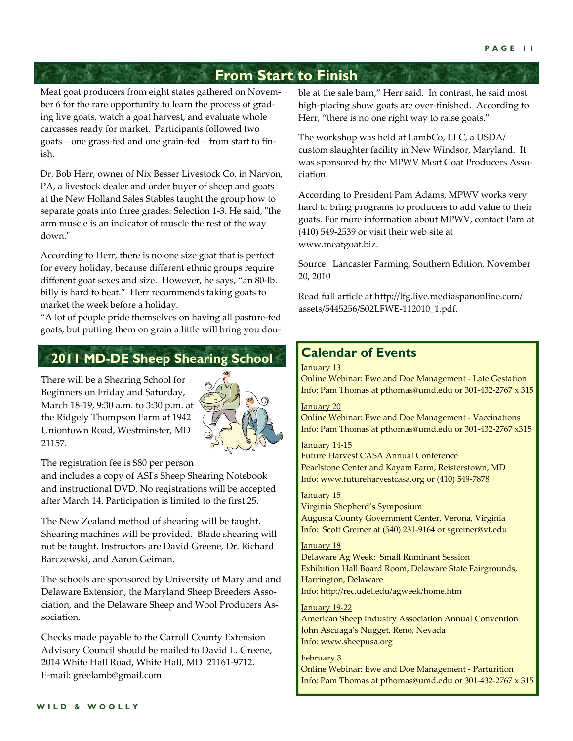### **From Start to Finish**

Meat goat producers from eight states gathered on Novem‐ ber 6 for the rare opportunity to learn the process of grading live goats, watch a goat harvest, and evaluate whole carcasses ready for market. Participants followed two goats – one grass‐fed and one grain‐fed – from start to fin‐ ish.

Dr. Bob Herr, owner of Nix Besser Livestock Co, in Narvon, PA, a livestock dealer and order buyer of sheep and goats at the New Holland Sales Stables taught the group how to separate goats into three grades: Selection 1-3. He said, "the arm muscle is an indicator of muscle the rest of the way down.ʺ

According to Herr, there is no one size goat that is perfect for every holiday, because different ethnic groups require different goat sexes and size. However, he says, "an 80‐lb. billy is hard to beat." Herr recommends taking goats to market the week before a holiday.

"A lot of people pride themselves on having all pasture‐fed goats, but putting them on grain a little will bring you dou‐

### **2011 MD-DE Sheep Shearing School**

There will be a Shearing School for Beginners on Friday and Saturday, March 18‐19, 9:30 a.m. to 3:30 p.m. at the Ridgely Thompson Farm at 1942 Uniontown Road, Westminster, MD 21157.



The registration fee is \$80 per person

and includes a copy of ASIʹs Sheep Shearing Notebook and instructional DVD. No registrations will be accepted after March 14. Participation is limited to the first 25.

The New Zealand method of shearing will be taught. Shearing machines will be provided. Blade shearing will not be taught. Instructors are David Greene, Dr. Richard Barczewski, and Aaron Geiman.

The schools are sponsored by University of Maryland and Delaware Extension, the Maryland Sheep Breeders Association, and the Delaware Sheep and Wool Producers As‐ sociation.

Checks made payable to the Carroll County Extension Advisory Council should be mailed to David L. Greene, 2014 White Hall Road, White Hall, MD 21161‐9712. E‐mail: greelamb@gmail.com

ble at the sale barn," Herr said. In contrast, he said most high-placing show goats are over-finished. According to Herr, "there is no one right way to raise goats."

The workshop was held at LambCo, LLC, a USDA/ custom slaughter facility in New Windsor, Maryland. It was sponsored by the MPWV Meat Goat Producers Association.

According to President Pam Adams, MPWV works very hard to bring programs to producers to add value to their goats. For more information about MPWV, contact Pam at (410) 549‐2539 or visit their web site at www.meatgoat.biz.

Source: Lancaster Farming, Southern Edition, November 20, 2010

Read full article at http://lfg.live.mediaspanonline.com/ assets/5445256/S02LFWE‐112010\_1.pdf.

### **Calendar of Events**

#### January 13

Online Webinar: Ewe and Doe Management ‐ Late Gestation Info: Pam Thomas at pthomas@umd.edu or 301‐432‐2767 x 315

#### January 20

Online Webinar: Ewe and Doe Management ‐ Vaccinations Info: Pam Thomas at pthomas@umd.edu or 301‐432‐2767 x315

#### January 14‐15

Future Harvest CASA Annual Conference Pearlstone Center and Kayam Farm, Reisterstown, MD Info: www.futureharvestcasa.org or (410) 549‐7878

#### January 15

Virginia Shepherd's Symposium Augusta County Government Center, Verona, Virginia Info: Scott Greiner at (540) 231‐9164 or sgreiner@vt.edu

#### January 18

Delaware Ag Week: Small Ruminant Session Exhibition Hall Board Room, Delaware State Fairgrounds, Harrington, Delaware Info: http://rec.udel.edu/agweek/home.htm

#### January 19‐22

American Sheep Industry Association Annual Convention John Ascuaga's Nugget, Reno, Nevada Info: www.sheepusa.org

#### February 3

Online Webinar: Ewe and Doe Management ‐ Parturition Info: Pam Thomas at pthomas@umd.edu or 301‐432‐2767 x 315